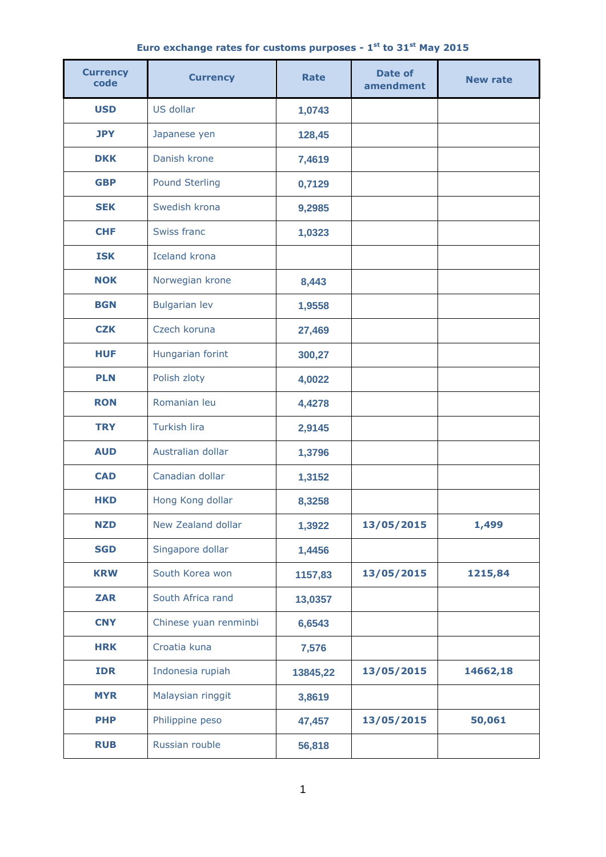|  | Euro exchange rates for customs purposes - $1st$ to 31 $st$ May 2015 |  |  |  |  |  |
|--|----------------------------------------------------------------------|--|--|--|--|--|
|  |                                                                      |  |  |  |  |  |

| <b>Currency</b><br>code | <b>Currency</b>       | <b>Rate</b> | <b>Date of</b><br>amendment | <b>New rate</b> |  |
|-------------------------|-----------------------|-------------|-----------------------------|-----------------|--|
| <b>USD</b>              | US dollar             | 1,0743      |                             |                 |  |
| <b>JPY</b>              | Japanese yen          | 128,45      |                             |                 |  |
| <b>DKK</b>              | Danish krone          | 7,4619      |                             |                 |  |
| <b>GBP</b>              | <b>Pound Sterling</b> | 0,7129      |                             |                 |  |
| <b>SEK</b>              | Swedish krona         | 9,2985      |                             |                 |  |
| <b>CHF</b>              | Swiss franc           | 1,0323      |                             |                 |  |
| <b>ISK</b>              | <b>Iceland krona</b>  |             |                             |                 |  |
| <b>NOK</b>              | Norwegian krone       | 8,443       |                             |                 |  |
| <b>BGN</b>              | <b>Bulgarian lev</b>  | 1,9558      |                             |                 |  |
| <b>CZK</b>              | Czech koruna          | 27,469      |                             |                 |  |
| <b>HUF</b>              | Hungarian forint      | 300,27      |                             |                 |  |
| <b>PLN</b>              | Polish zloty          | 4,0022      |                             |                 |  |
| <b>RON</b>              | Romanian leu          | 4,4278      |                             |                 |  |
| <b>TRY</b>              | Turkish lira          | 2,9145      |                             |                 |  |
| <b>AUD</b>              | Australian dollar     | 1,3796      |                             |                 |  |
| <b>CAD</b>              | Canadian dollar       | 1,3152      |                             |                 |  |
| HKD                     | Hong Kong dollar      | 8,3258      |                             |                 |  |
| <b>NZD</b>              | New Zealand dollar    | 1,3922      | 13/05/2015                  | 1,499           |  |
| <b>SGD</b>              | Singapore dollar      | 1,4456      |                             |                 |  |
| <b>KRW</b>              | South Korea won       | 1157,83     | 13/05/2015                  | 1215,84         |  |
| <b>ZAR</b>              | South Africa rand     | 13,0357     |                             |                 |  |
| <b>CNY</b>              | Chinese yuan renminbi | 6,6543      |                             |                 |  |
| <b>HRK</b>              | Croatia kuna          | 7,576       |                             |                 |  |
| <b>IDR</b>              | Indonesia rupiah      | 13845,22    | 13/05/2015                  | 14662,18        |  |
| <b>MYR</b>              | Malaysian ringgit     | 3,8619      |                             |                 |  |
| <b>PHP</b>              | Philippine peso       | 47,457      | 13/05/2015                  | 50,061          |  |
| <b>RUB</b>              | Russian rouble        | 56,818      |                             |                 |  |